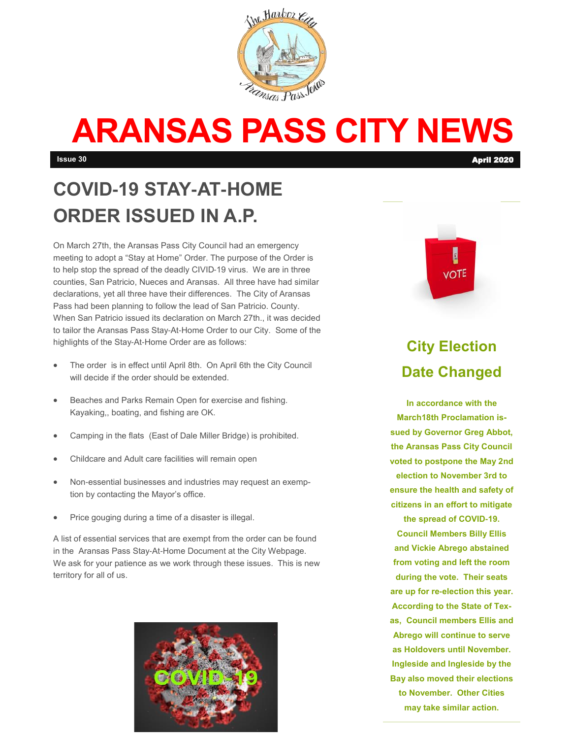

# **ARANSAS PASS CITY NEWS**

# **COVID-19 STAY-AT-HOME ORDER ISSUED IN A.P.**

On March 27th, the Aransas Pass City Council had an emergency meeting to adopt a "Stay at Home" Order. The purpose of the Order is to help stop the spread of the deadly CIVID-19 virus. We are in three counties, San Patricio, Nueces and Aransas. All three have had similar declarations, yet all three have their differences. The City of Aransas Pass had been planning to follow the lead of San Patricio. County. When San Patricio issued its declaration on March 27th., it was decided to tailor the Aransas Pass Stay-At-Home Order to our City. Some of the highlights of the Stay-At-Home Order are as follows:

- The order is in effect until April 8th. On April 6th the City Council will decide if the order should be extended.
- Beaches and Parks Remain Open for exercise and fishing. Kayaking,, boating, and fishing are OK.
- Camping in the flats (East of Dale Miller Bridge) is prohibited.
- Childcare and Adult care facilities will remain open
- Non-essential businesses and industries may request an exemption by contacting the Mayor's office.
- Price gouging during a time of a disaster is illegal.

A list of essential services that are exempt from the order can be found in the Aransas Pass Stay-At-Home Document at the City Webpage. We ask for your patience as we work through these issues. This is new territory for all of us.





#### **City Election Date Changed**

**In accordance with the March18th Proclamation issued by Governor Greg Abbot, the Aransas Pass City Council voted to postpone the May 2nd election to November 3rd to ensure the health and safety of citizens in an effort to mitigate** 

**the spread of COVID-19. Council Members Billy Ellis and Vickie Abrego abstained from voting and left the room during the vote. Their seats are up for re-election this year. According to the State of Texas, Council members Ellis and Abrego will continue to serve as Holdovers until November. Ingleside and Ingleside by the Bay also moved their elections to November. Other Cities may take similar action.**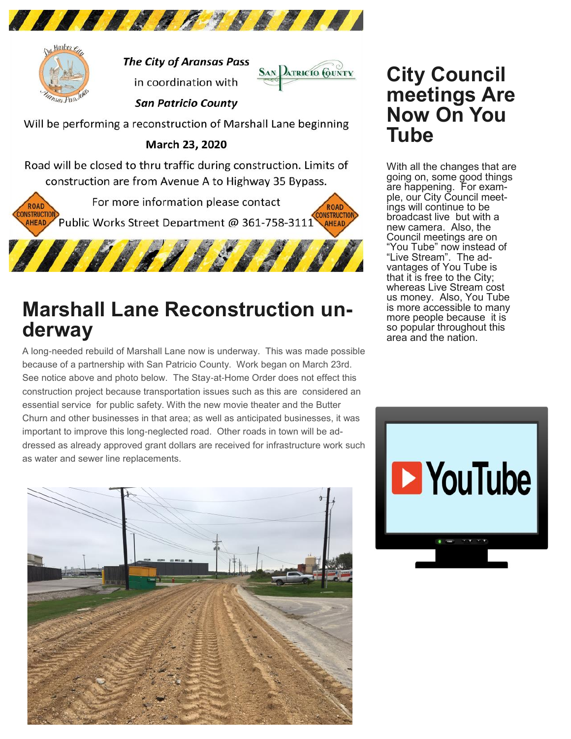



**The City of Aransas Pass** in coordination with



**San Patricio County** 

Will be performing a reconstruction of Marshall Lane beginning

March 23, 2020

Road will be closed to thru traffic during construction. Limits of construction are from Avenue A to Highway 35 Bypass.

For more information please contact **ROAD ROAD** ONSTRUCTION **CONSTRUCTION** Public Works Street Department @ 361-758-3111 **AHEAD AHEAD** 



## **Marshall Lane Reconstruction underway**

A long-needed rebuild of Marshall Lane now is underway. This was made possible because of a partnership with San Patricio County. Work began on March 23rd. See notice above and photo below. The Stay-at-Home Order does not effect this construction project because transportation issues such as this are considered an essential service for public safety. With the new movie theater and the Butter Churn and other businesses in that area; as well as anticipated businesses, it was important to improve this long-neglected road. Other roads in town will be addressed as already approved grant dollars are received for infrastructure work such as water and sewer line replacements.



### **City Council meetings Are Now On You Tube**

With all the changes that are going on, some good things are happening. For example, our City Council meetings will continue to be broadcast live but with a new camera. Also, the Council meetings are on "You Tube" now instead of "Live Stream". The advantages of You Tube is that it is free to the City; whereas Live Stream cost us money. Also, You Tube is more accessible to many more people because it is so popular throughout this area and the nation.

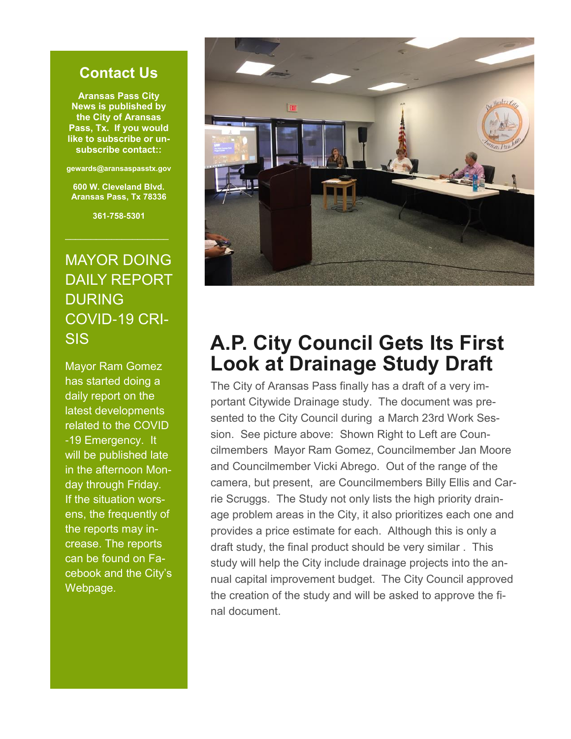#### **Contact Us**

**Aransas Pass City News is published by the City of Aransas Pass, Tx. If you would like to subscribe or unsubscribe contact::**

**gewards@aransaspasstx.gov**

**600 W. Cleveland Blvd. Aransas Pass, Tx 78336**

**361-758-5301**

#### MAYOR DOING DAILY REPORT DURING COVID-19 CRI-SIS

Mayor Ram Gomez has started doing a daily report on the latest developments related to the COVID -19 Emergency. It will be published late in the afternoon Monday through Friday. If the situation worsens, the frequently of the reports may increase. The reports can be found on Facebook and the City's Webpage.



## **A.P. City Council Gets Its First Look at Drainage Study Draft**

The City of Aransas Pass finally has a draft of a very important Citywide Drainage study. The document was presented to the City Council during a March 23rd Work Session. See picture above: Shown Right to Left are Councilmembers Mayor Ram Gomez, Councilmember Jan Moore and Councilmember Vicki Abrego. Out of the range of the camera, but present, are Councilmembers Billy Ellis and Carrie Scruggs. The Study not only lists the high priority drainage problem areas in the City, it also prioritizes each one and provides a price estimate for each. Although this is only a draft study, the final product should be very similar . This study will help the City include drainage projects into the annual capital improvement budget. The City Council approved the creation of the study and will be asked to approve the final document.